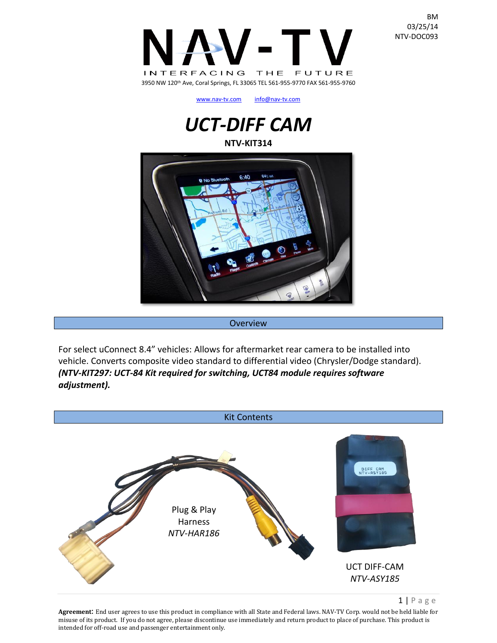

[www.nav-tv.com](http://www.nav-tv.com/) [info@nav-tv.com](mailto:info@nav-tv.com)

# *UCT-DIFF CAM* **NTV-KIT314**



**Overview** 

For select uConnect 8.4" vehicles: Allows for aftermarket rear camera to be installed into vehicle. Converts composite video standard to differential video (Chrysler/Dodge standard). *(NTV-KIT297: UCT-84 Kit required for switching, UCT84 module requires software adjustment).*



 $1 | P$  a g e

**Agreement**: End user agrees to use this product in compliance with all State and Federal laws. NAV-TV Corp. would not be held liable for misuse of its product. If you do not agree, please discontinue use immediately and return product to place of purchase. This product is intended for off-road use and passenger entertainment only.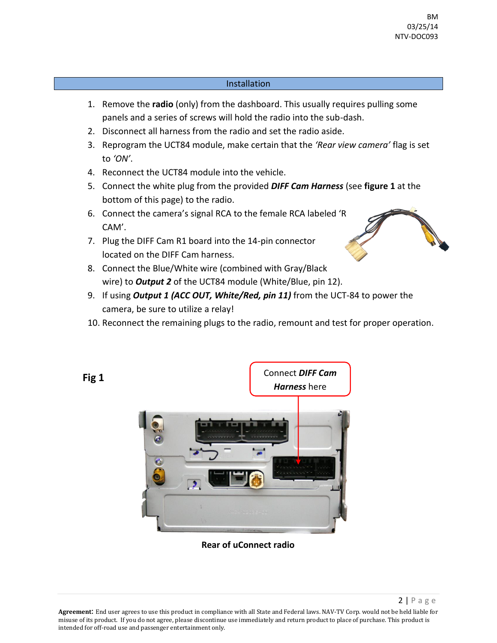#### Installation

- 1. Remove the **radio** (only) from the dashboard. This usually requires pulling some panels and a series of screws will hold the radio into the sub-dash.
- 2. Disconnect all harness from the radio and set the radio aside.
- 3. Reprogram the UCT84 module, make certain that the *'Rear view camera'* flag is set to *'ON'*.
- 4. Reconnect the UCT84 module into the vehicle.
- 5. Connect the white plug from the provided *DIFF Cam Harness* (see **figure 1** at the bottom of this page) to the radio.
- 6. Connect the camera's signal RCA to the female RCA labeled 'R CAM'.
- 7. Plug the DIFF Cam R1 board into the 14-pin connector located on the DIFF Cam harness.
- 8. Connect the Blue/White wire (combined with Gray/Black wire) to *Output 2* of the UCT84 module (White/Blue, pin 12).
- 9. If using *Output 1 (ACC OUT, White/Red, pin 11)* from the UCT-84 to power the camera, be sure to utilize a relay!
- 10. Reconnect the remaining plugs to the radio, remount and test for proper operation.



**Rear of uConnect radio**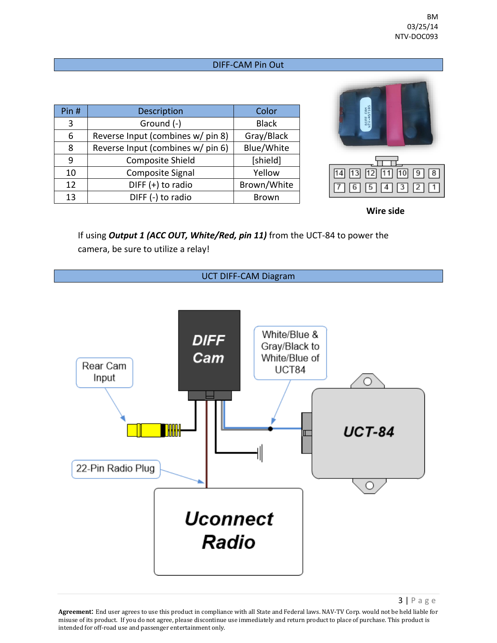#### DIFF-CAM Pin Out

| Pin $#$ | Description                       | Color        |  |
|---------|-----------------------------------|--------------|--|
| 3       | Ground (-)                        | <b>Black</b> |  |
| 6       | Reverse Input (combines w/ pin 8) | Gray/Black   |  |
| 8       | Reverse Input (combines w/ pin 6) | Blue/White   |  |
| 9       | <b>Composite Shield</b>           | [shield]     |  |
| 10      | <b>Composite Signal</b>           | Yellow       |  |
| 12      | DIFF $(+)$ to radio               | Brown/White  |  |
| 13      | DIFF (-) to radio                 | <b>Brown</b> |  |



**Wire side**

If using *Output 1 (ACC OUT, White/Red, pin 11)* from the UCT-84 to power the camera, be sure to utilize a relay!



3 | P a g e

**Agreement**: End user agrees to use this product in compliance with all State and Federal laws. NAV-TV Corp. would not be held liable for misuse of its product. If you do not agree, please discontinue use immediately and return product to place of purchase. This product is intended for off-road use and passenger entertainment only.